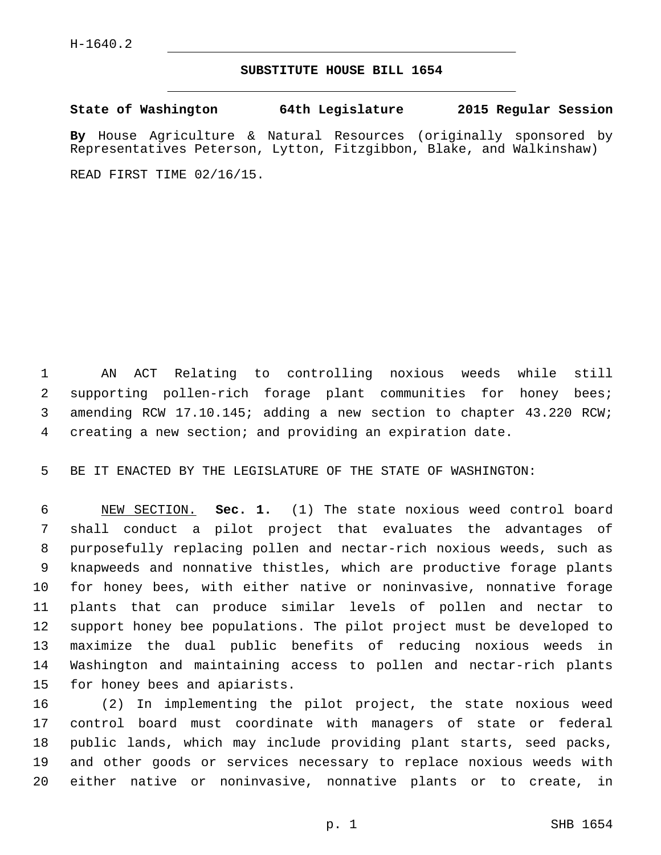## **SUBSTITUTE HOUSE BILL 1654**

**State of Washington 64th Legislature 2015 Regular Session**

**By** House Agriculture & Natural Resources (originally sponsored by Representatives Peterson, Lytton, Fitzgibbon, Blake, and Walkinshaw)

READ FIRST TIME 02/16/15.

 AN ACT Relating to controlling noxious weeds while still supporting pollen-rich forage plant communities for honey bees; amending RCW 17.10.145; adding a new section to chapter 43.220 RCW; creating a new section; and providing an expiration date.

BE IT ENACTED BY THE LEGISLATURE OF THE STATE OF WASHINGTON:

 NEW SECTION. **Sec. 1.** (1) The state noxious weed control board shall conduct a pilot project that evaluates the advantages of purposefully replacing pollen and nectar-rich noxious weeds, such as knapweeds and nonnative thistles, which are productive forage plants for honey bees, with either native or noninvasive, nonnative forage plants that can produce similar levels of pollen and nectar to support honey bee populations. The pilot project must be developed to maximize the dual public benefits of reducing noxious weeds in Washington and maintaining access to pollen and nectar-rich plants for honey bees and apiarists.

 (2) In implementing the pilot project, the state noxious weed control board must coordinate with managers of state or federal public lands, which may include providing plant starts, seed packs, and other goods or services necessary to replace noxious weeds with either native or noninvasive, nonnative plants or to create, in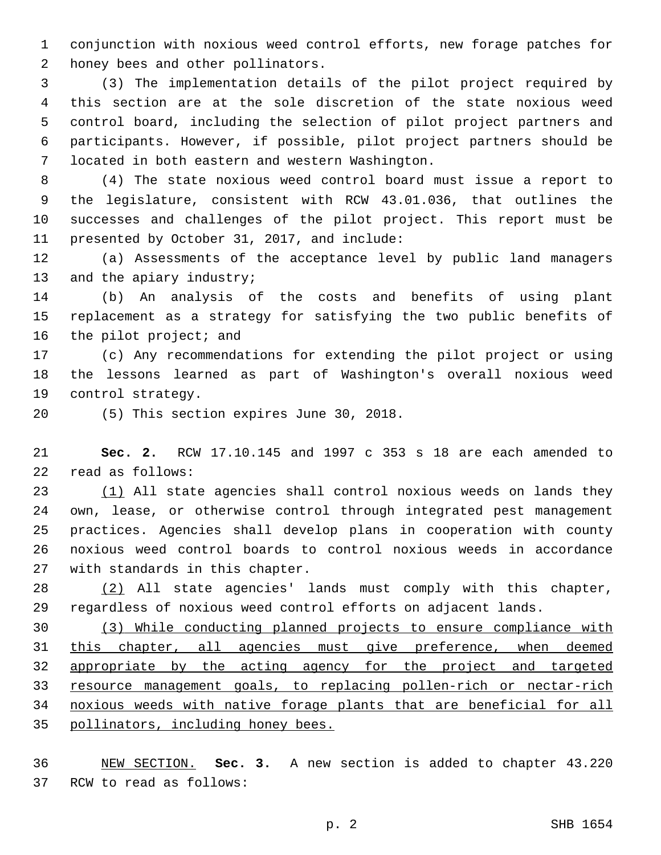conjunction with noxious weed control efforts, new forage patches for 2 honey bees and other pollinators.

 (3) The implementation details of the pilot project required by this section are at the sole discretion of the state noxious weed control board, including the selection of pilot project partners and participants. However, if possible, pilot project partners should be located in both eastern and western Washington.7

 (4) The state noxious weed control board must issue a report to the legislature, consistent with RCW 43.01.036, that outlines the successes and challenges of the pilot project. This report must be 11 presented by October 31, 2017, and include:

 (a) Assessments of the acceptance level by public land managers 13 and the apiary industry;

 (b) An analysis of the costs and benefits of using plant replacement as a strategy for satisfying the two public benefits of 16 the pilot project; and

 (c) Any recommendations for extending the pilot project or using the lessons learned as part of Washington's overall noxious weed 19 control strategy.

20 (5) This section expires June 30, 2018.

 **Sec. 2.** RCW 17.10.145 and 1997 c 353 s 18 are each amended to 22 read as follows:

23 (1) All state agencies shall control noxious weeds on lands they own, lease, or otherwise control through integrated pest management practices. Agencies shall develop plans in cooperation with county noxious weed control boards to control noxious weeds in accordance 27 with standards in this chapter.

 (2) All state agencies' lands must comply with this chapter, regardless of noxious weed control efforts on adjacent lands.

 (3) While conducting planned projects to ensure compliance with this chapter, all agencies must give preference, when deemed 32 appropriate by the acting agency for the project and targeted resource management goals, to replacing pollen-rich or nectar-rich noxious weeds with native forage plants that are beneficial for all pollinators, including honey bees.

 NEW SECTION. **Sec. 3.** A new section is added to chapter 43.220 37 RCW to read as follows: